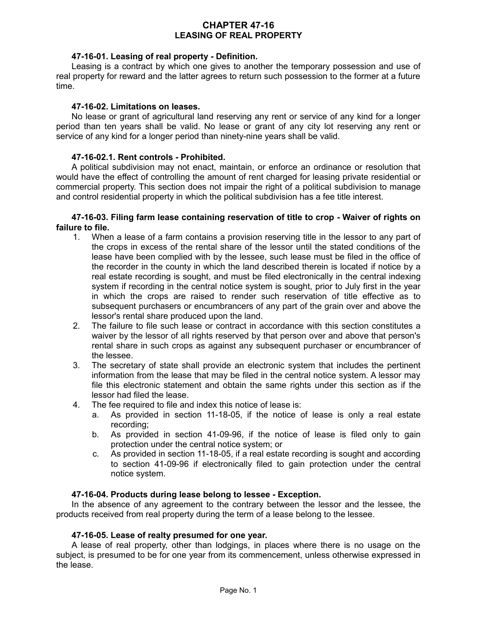# **CHAPTER 47-16 LEASING OF REAL PROPERTY**

## **47-16-01. Leasing of real property - Definition.**

Leasing is a contract by which one gives to another the temporary possession and use of real property for reward and the latter agrees to return such possession to the former at a future time.

### **47-16-02. Limitations on leases.**

No lease or grant of agricultural land reserving any rent or service of any kind for a longer period than ten years shall be valid. No lease or grant of any city lot reserving any rent or service of any kind for a longer period than ninety-nine years shall be valid.

## **47-16-02.1. Rent controls - Prohibited.**

A political subdivision may not enact, maintain, or enforce an ordinance or resolution that would have the effect of controlling the amount of rent charged for leasing private residential or commercial property. This section does not impair the right of a political subdivision to manage and control residential property in which the political subdivision has a fee title interest.

### **47-16-03. Filing farm lease containing reservation of title to crop - Waiver of rights on failure to file.**

- 1. When a lease of a farm contains a provision reserving title in the lessor to any part of the crops in excess of the rental share of the lessor until the stated conditions of the lease have been complied with by the lessee, such lease must be filed in the office of the recorder in the county in which the land described therein is located if notice by a real estate recording is sought, and must be filed electronically in the central indexing system if recording in the central notice system is sought, prior to July first in the year in which the crops are raised to render such reservation of title effective as to subsequent purchasers or encumbrancers of any part of the grain over and above the lessor's rental share produced upon the land.
- 2. The failure to file such lease or contract in accordance with this section constitutes a waiver by the lessor of all rights reserved by that person over and above that person's rental share in such crops as against any subsequent purchaser or encumbrancer of the lessee.
- 3. The secretary of state shall provide an electronic system that includes the pertinent information from the lease that may be filed in the central notice system. A lessor may file this electronic statement and obtain the same rights under this section as if the lessor had filed the lease.
- 4. The fee required to file and index this notice of lease is:
	- a. As provided in section 11-18-05, if the notice of lease is only a real estate recording;
	- b. As provided in section 41-09-96, if the notice of lease is filed only to gain protection under the central notice system; or
	- c. As provided in section 11-18-05, if a real estate recording is sought and according to section 41-09-96 if electronically filed to gain protection under the central notice system.

### **47-16-04. Products during lease belong to lessee - Exception.**

In the absence of any agreement to the contrary between the lessor and the lessee, the products received from real property during the term of a lease belong to the lessee.

### **47-16-05. Lease of realty presumed for one year.**

A lease of real property, other than lodgings, in places where there is no usage on the subject, is presumed to be for one year from its commencement, unless otherwise expressed in the lease.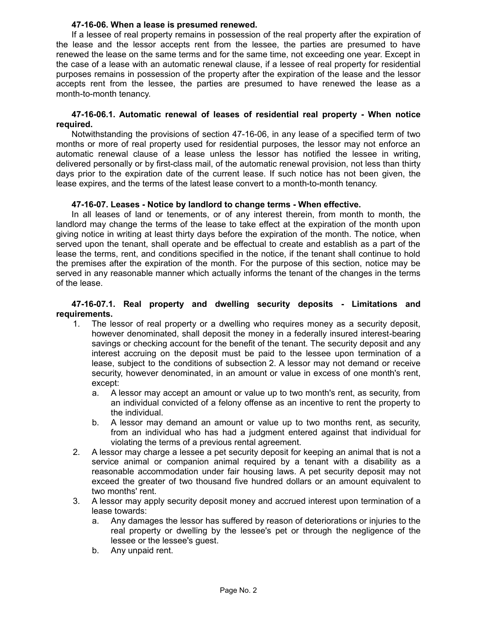### **47-16-06. When a lease is presumed renewed.**

If a lessee of real property remains in possession of the real property after the expiration of the lease and the lessor accepts rent from the lessee, the parties are presumed to have renewed the lease on the same terms and for the same time, not exceeding one year. Except in the case of a lease with an automatic renewal clause, if a lessee of real property for residential purposes remains in possession of the property after the expiration of the lease and the lessor accepts rent from the lessee, the parties are presumed to have renewed the lease as a month-to-month tenancy.

### **47-16-06.1. Automatic renewal of leases of residential real property - When notice required.**

Notwithstanding the provisions of section 47-16-06, in any lease of a specified term of two months or more of real property used for residential purposes, the lessor may not enforce an automatic renewal clause of a lease unless the lessor has notified the lessee in writing, delivered personally or by first-class mail, of the automatic renewal provision, not less than thirty days prior to the expiration date of the current lease. If such notice has not been given, the lease expires, and the terms of the latest lease convert to a month-to-month tenancy.

### **47-16-07. Leases - Notice by landlord to change terms - When effective.**

In all leases of land or tenements, or of any interest therein, from month to month, the landlord may change the terms of the lease to take effect at the expiration of the month upon giving notice in writing at least thirty days before the expiration of the month. The notice, when served upon the tenant, shall operate and be effectual to create and establish as a part of the lease the terms, rent, and conditions specified in the notice, if the tenant shall continue to hold the premises after the expiration of the month. For the purpose of this section, notice may be served in any reasonable manner which actually informs the tenant of the changes in the terms of the lease.

## **47-16-07.1. Real property and dwelling security deposits - Limitations and requirements.**

- 1. The lessor of real property or a dwelling who requires money as a security deposit, however denominated, shall deposit the money in a federally insured interest-bearing savings or checking account for the benefit of the tenant. The security deposit and any interest accruing on the deposit must be paid to the lessee upon termination of a lease, subject to the conditions of subsection 2. A lessor may not demand or receive security, however denominated, in an amount or value in excess of one month's rent, except:
	- a. A lessor may accept an amount or value up to two month's rent, as security, from an individual convicted of a felony offense as an incentive to rent the property to the individual.
	- b. A lessor may demand an amount or value up to two months rent, as security, from an individual who has had a judgment entered against that individual for violating the terms of a previous rental agreement.
- 2. A lessor may charge a lessee a pet security deposit for keeping an animal that is not a service animal or companion animal required by a tenant with a disability as a reasonable accommodation under fair housing laws. A pet security deposit may not exceed the greater of two thousand five hundred dollars or an amount equivalent to two months' rent.
- 3. A lessor may apply security deposit money and accrued interest upon termination of a lease towards:
	- a. Any damages the lessor has suffered by reason of deteriorations or injuries to the real property or dwelling by the lessee's pet or through the negligence of the lessee or the lessee's guest.
	- b. Any unpaid rent.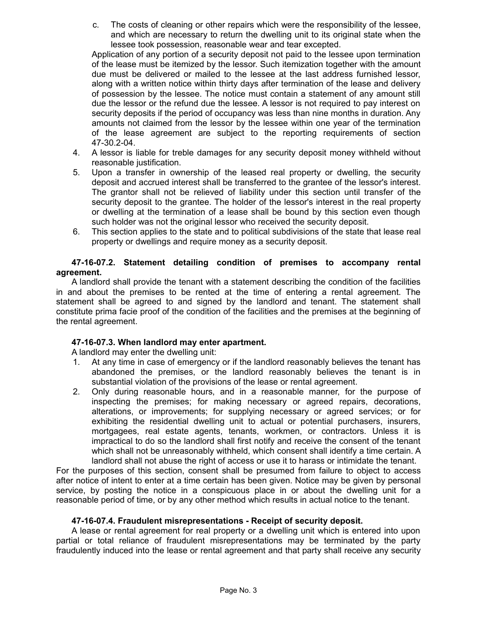c. The costs of cleaning or other repairs which were the responsibility of the lessee, and which are necessary to return the dwelling unit to its original state when the lessee took possession, reasonable wear and tear excepted.

Application of any portion of a security deposit not paid to the lessee upon termination of the lease must be itemized by the lessor. Such itemization together with the amount due must be delivered or mailed to the lessee at the last address furnished lessor, along with a written notice within thirty days after termination of the lease and delivery of possession by the lessee. The notice must contain a statement of any amount still due the lessor or the refund due the lessee. A lessor is not required to pay interest on security deposits if the period of occupancy was less than nine months in duration. Any amounts not claimed from the lessor by the lessee within one year of the termination of the lease agreement are subject to the reporting requirements of section 47-30.2-04.

- 4. A lessor is liable for treble damages for any security deposit money withheld without reasonable justification.
- 5. Upon a transfer in ownership of the leased real property or dwelling, the security deposit and accrued interest shall be transferred to the grantee of the lessor's interest. The grantor shall not be relieved of liability under this section until transfer of the security deposit to the grantee. The holder of the lessor's interest in the real property or dwelling at the termination of a lease shall be bound by this section even though such holder was not the original lessor who received the security deposit.
- 6. This section applies to the state and to political subdivisions of the state that lease real property or dwellings and require money as a security deposit.

# **47-16-07.2. Statement detailing condition of premises to accompany rental agreement.**

A landlord shall provide the tenant with a statement describing the condition of the facilities in and about the premises to be rented at the time of entering a rental agreement. The statement shall be agreed to and signed by the landlord and tenant. The statement shall constitute prima facie proof of the condition of the facilities and the premises at the beginning of the rental agreement.

# **47-16-07.3. When landlord may enter apartment.**

A landlord may enter the dwelling unit:

- 1. At any time in case of emergency or if the landlord reasonably believes the tenant has abandoned the premises, or the landlord reasonably believes the tenant is in substantial violation of the provisions of the lease or rental agreement.
- 2. Only during reasonable hours, and in a reasonable manner, for the purpose of inspecting the premises; for making necessary or agreed repairs, decorations, alterations, or improvements; for supplying necessary or agreed services; or for exhibiting the residential dwelling unit to actual or potential purchasers, insurers, mortgagees, real estate agents, tenants, workmen, or contractors. Unless it is impractical to do so the landlord shall first notify and receive the consent of the tenant which shall not be unreasonably withheld, which consent shall identify a time certain. A landlord shall not abuse the right of access or use it to harass or intimidate the tenant.

For the purposes of this section, consent shall be presumed from failure to object to access after notice of intent to enter at a time certain has been given. Notice may be given by personal service, by posting the notice in a conspicuous place in or about the dwelling unit for a reasonable period of time, or by any other method which results in actual notice to the tenant.

### **47-16-07.4. Fraudulent misrepresentations - Receipt of security deposit.**

A lease or rental agreement for real property or a dwelling unit which is entered into upon partial or total reliance of fraudulent misrepresentations may be terminated by the party fraudulently induced into the lease or rental agreement and that party shall receive any security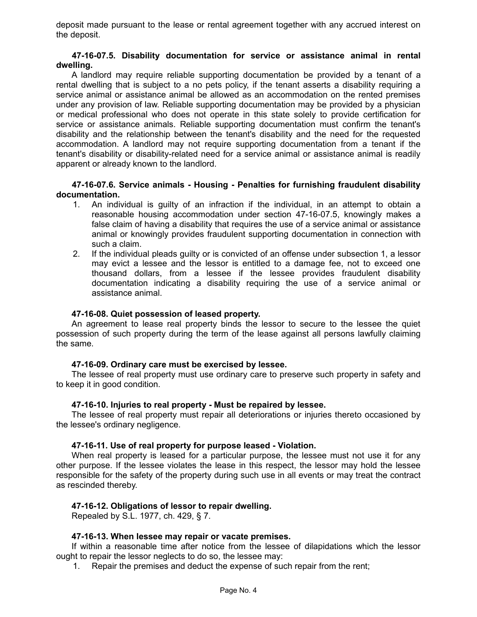deposit made pursuant to the lease or rental agreement together with any accrued interest on the deposit.

### **47-16-07.5. Disability documentation for service or assistance animal in rental dwelling.**

A landlord may require reliable supporting documentation be provided by a tenant of a rental dwelling that is subject to a no pets policy, if the tenant asserts a disability requiring a service animal or assistance animal be allowed as an accommodation on the rented premises under any provision of law. Reliable supporting documentation may be provided by a physician or medical professional who does not operate in this state solely to provide certification for service or assistance animals. Reliable supporting documentation must confirm the tenant's disability and the relationship between the tenant's disability and the need for the requested accommodation. A landlord may not require supporting documentation from a tenant if the tenant's disability or disability-related need for a service animal or assistance animal is readily apparent or already known to the landlord.

**47-16-07.6. Service animals - Housing - Penalties for furnishing fraudulent disability documentation.**

- 1. An individual is guilty of an infraction if the individual, in an attempt to obtain a reasonable housing accommodation under section 47-16-07.5, knowingly makes a false claim of having a disability that requires the use of a service animal or assistance animal or knowingly provides fraudulent supporting documentation in connection with such a claim.
- 2. If the individual pleads guilty or is convicted of an offense under subsection 1, a lessor may evict a lessee and the lessor is entitled to a damage fee, not to exceed one thousand dollars, from a lessee if the lessee provides fraudulent disability documentation indicating a disability requiring the use of a service animal or assistance animal.

### **47-16-08. Quiet possession of leased property.**

An agreement to lease real property binds the lessor to secure to the lessee the quiet possession of such property during the term of the lease against all persons lawfully claiming the same.

### **47-16-09. Ordinary care must be exercised by lessee.**

The lessee of real property must use ordinary care to preserve such property in safety and to keep it in good condition.

### **47-16-10. Injuries to real property - Must be repaired by lessee.**

The lessee of real property must repair all deteriorations or injuries thereto occasioned by the lessee's ordinary negligence.

### **47-16-11. Use of real property for purpose leased - Violation.**

When real property is leased for a particular purpose, the lessee must not use it for any other purpose. If the lessee violates the lease in this respect, the lessor may hold the lessee responsible for the safety of the property during such use in all events or may treat the contract as rescinded thereby.

# **47-16-12. Obligations of lessor to repair dwelling.**

Repealed by S.L. 1977, ch. 429, § 7.

# **47-16-13. When lessee may repair or vacate premises.**

If within a reasonable time after notice from the lessee of dilapidations which the lessor ought to repair the lessor neglects to do so, the lessee may:

1. Repair the premises and deduct the expense of such repair from the rent;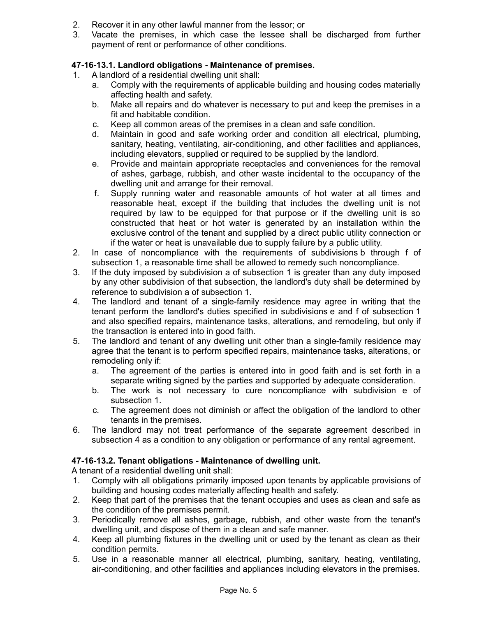- 2. Recover it in any other lawful manner from the lessor; or
- 3. Vacate the premises, in which case the lessee shall be discharged from further payment of rent or performance of other conditions.

# **47-16-13.1. Landlord obligations - Maintenance of premises.**

- 1. A landlord of a residential dwelling unit shall:
	- a. Comply with the requirements of applicable building and housing codes materially affecting health and safety.
	- b. Make all repairs and do whatever is necessary to put and keep the premises in a fit and habitable condition.
	- c. Keep all common areas of the premises in a clean and safe condition.
	- d. Maintain in good and safe working order and condition all electrical, plumbing, sanitary, heating, ventilating, air-conditioning, and other facilities and appliances, including elevators, supplied or required to be supplied by the landlord.
	- e. Provide and maintain appropriate receptacles and conveniences for the removal of ashes, garbage, rubbish, and other waste incidental to the occupancy of the dwelling unit and arrange for their removal.
	- f. Supply running water and reasonable amounts of hot water at all times and reasonable heat, except if the building that includes the dwelling unit is not required by law to be equipped for that purpose or if the dwelling unit is so constructed that heat or hot water is generated by an installation within the exclusive control of the tenant and supplied by a direct public utility connection or if the water or heat is unavailable due to supply failure by a public utility.
- 2. In case of noncompliance with the requirements of subdivisions b through f of subsection 1, a reasonable time shall be allowed to remedy such noncompliance.
- 3. If the duty imposed by subdivision a of subsection 1 is greater than any duty imposed by any other subdivision of that subsection, the landlord's duty shall be determined by reference to subdivision a of subsection 1.
- 4. The landlord and tenant of a single-family residence may agree in writing that the tenant perform the landlord's duties specified in subdivisions e and f of subsection 1 and also specified repairs, maintenance tasks, alterations, and remodeling, but only if the transaction is entered into in good faith.
- 5. The landlord and tenant of any dwelling unit other than a single-family residence may agree that the tenant is to perform specified repairs, maintenance tasks, alterations, or remodeling only if:
	- a. The agreement of the parties is entered into in good faith and is set forth in a separate writing signed by the parties and supported by adequate consideration.
	- b. The work is not necessary to cure noncompliance with subdivision e of subsection 1.
	- c. The agreement does not diminish or affect the obligation of the landlord to other tenants in the premises.
- 6. The landlord may not treat performance of the separate agreement described in subsection 4 as a condition to any obligation or performance of any rental agreement.

# **47-16-13.2. Tenant obligations - Maintenance of dwelling unit.**

A tenant of a residential dwelling unit shall:

- 1. Comply with all obligations primarily imposed upon tenants by applicable provisions of building and housing codes materially affecting health and safety.
- 2. Keep that part of the premises that the tenant occupies and uses as clean and safe as the condition of the premises permit.
- 3. Periodically remove all ashes, garbage, rubbish, and other waste from the tenant's dwelling unit, and dispose of them in a clean and safe manner.
- 4. Keep all plumbing fixtures in the dwelling unit or used by the tenant as clean as their condition permits.
- 5. Use in a reasonable manner all electrical, plumbing, sanitary, heating, ventilating, air-conditioning, and other facilities and appliances including elevators in the premises.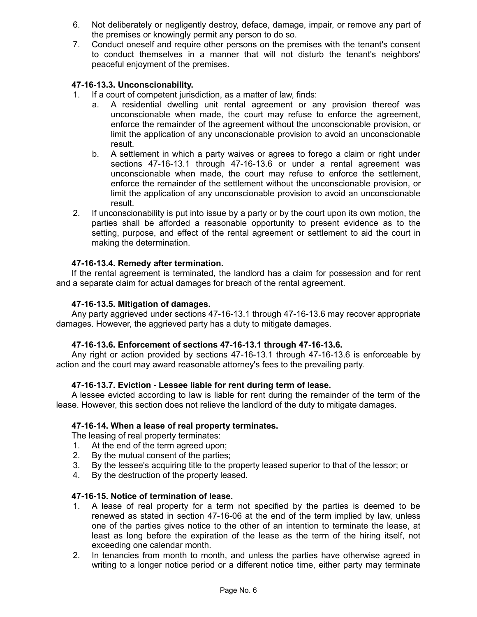- 6. Not deliberately or negligently destroy, deface, damage, impair, or remove any part of the premises or knowingly permit any person to do so.
- 7. Conduct oneself and require other persons on the premises with the tenant's consent to conduct themselves in a manner that will not disturb the tenant's neighbors' peaceful enjoyment of the premises.

# **47-16-13.3. Unconscionability.**

- 1. If a court of competent jurisdiction, as a matter of law, finds:
	- a. A residential dwelling unit rental agreement or any provision thereof was unconscionable when made, the court may refuse to enforce the agreement, enforce the remainder of the agreement without the unconscionable provision, or limit the application of any unconscionable provision to avoid an unconscionable result.
	- b. A settlement in which a party waives or agrees to forego a claim or right under sections 47-16-13.1 through 47-16-13.6 or under a rental agreement was unconscionable when made, the court may refuse to enforce the settlement, enforce the remainder of the settlement without the unconscionable provision, or limit the application of any unconscionable provision to avoid an unconscionable result.
- 2. If unconscionability is put into issue by a party or by the court upon its own motion, the parties shall be afforded a reasonable opportunity to present evidence as to the setting, purpose, and effect of the rental agreement or settlement to aid the court in making the determination.

### **47-16-13.4. Remedy after termination.**

If the rental agreement is terminated, the landlord has a claim for possession and for rent and a separate claim for actual damages for breach of the rental agreement.

### **47-16-13.5. Mitigation of damages.**

Any party aggrieved under sections 47-16-13.1 through 47-16-13.6 may recover appropriate damages. However, the aggrieved party has a duty to mitigate damages.

### **47-16-13.6. Enforcement of sections 47-16-13.1 through 47-16-13.6.**

Any right or action provided by sections 47-16-13.1 through 47-16-13.6 is enforceable by action and the court may award reasonable attorney's fees to the prevailing party.

### **47-16-13.7. Eviction - Lessee liable for rent during term of lease.**

A lessee evicted according to law is liable for rent during the remainder of the term of the lease. However, this section does not relieve the landlord of the duty to mitigate damages.

### **47-16-14. When a lease of real property terminates.**

The leasing of real property terminates:

- 1. At the end of the term agreed upon;
- 2. By the mutual consent of the parties;
- 3. By the lessee's acquiring title to the property leased superior to that of the lessor; or
- 4. By the destruction of the property leased.

#### **47-16-15. Notice of termination of lease.**

- 1. A lease of real property for a term not specified by the parties is deemed to be renewed as stated in section 47-16-06 at the end of the term implied by law, unless one of the parties gives notice to the other of an intention to terminate the lease, at least as long before the expiration of the lease as the term of the hiring itself, not exceeding one calendar month.
- 2. In tenancies from month to month, and unless the parties have otherwise agreed in writing to a longer notice period or a different notice time, either party may terminate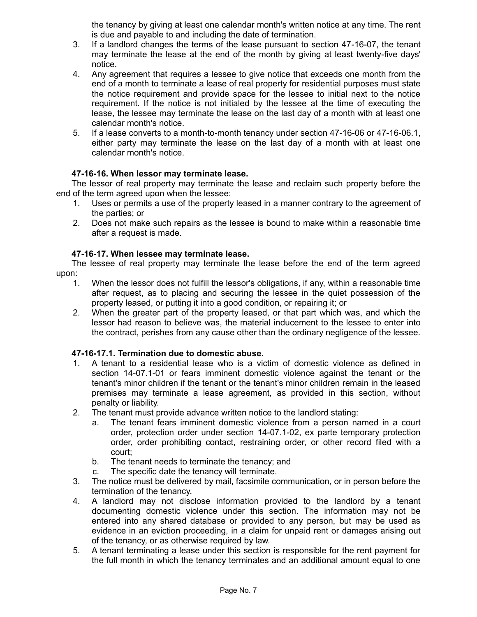the tenancy by giving at least one calendar month's written notice at any time. The rent is due and payable to and including the date of termination.

- 3. If a landlord changes the terms of the lease pursuant to section 47-16-07, the tenant may terminate the lease at the end of the month by giving at least twenty-five days' notice.
- 4. Any agreement that requires a lessee to give notice that exceeds one month from the end of a month to terminate a lease of real property for residential purposes must state the notice requirement and provide space for the lessee to initial next to the notice requirement. If the notice is not initialed by the lessee at the time of executing the lease, the lessee may terminate the lease on the last day of a month with at least one calendar month's notice.
- 5. If a lease converts to a month-to-month tenancy under section 47-16-06 or 47-16-06.1, either party may terminate the lease on the last day of a month with at least one calendar month's notice.

# **47-16-16. When lessor may terminate lease.**

The lessor of real property may terminate the lease and reclaim such property before the end of the term agreed upon when the lessee:

- 1. Uses or permits a use of the property leased in a manner contrary to the agreement of the parties; or
- 2. Does not make such repairs as the lessee is bound to make within a reasonable time after a request is made.

# **47-16-17. When lessee may terminate lease.**

The lessee of real property may terminate the lease before the end of the term agreed upon:

- 1. When the lessor does not fulfill the lessor's obligations, if any, within a reasonable time after request, as to placing and securing the lessee in the quiet possession of the property leased, or putting it into a good condition, or repairing it; or
- 2. When the greater part of the property leased, or that part which was, and which the lessor had reason to believe was, the material inducement to the lessee to enter into the contract, perishes from any cause other than the ordinary negligence of the lessee.

# **47-16-17.1. Termination due to domestic abuse.**

- 1. A tenant to a residential lease who is a victim of domestic violence as defined in section 14-07.1-01 or fears imminent domestic violence against the tenant or the tenant's minor children if the tenant or the tenant's minor children remain in the leased premises may terminate a lease agreement, as provided in this section, without penalty or liability.
- 2. The tenant must provide advance written notice to the landlord stating:
	- a. The tenant fears imminent domestic violence from a person named in a court order, protection order under section 14-07.1-02, ex parte temporary protection order, order prohibiting contact, restraining order, or other record filed with a court;
	- b. The tenant needs to terminate the tenancy; and
	- c. The specific date the tenancy will terminate.
- 3. The notice must be delivered by mail, facsimile communication, or in person before the termination of the tenancy.
- 4. A landlord may not disclose information provided to the landlord by a tenant documenting domestic violence under this section. The information may not be entered into any shared database or provided to any person, but may be used as evidence in an eviction proceeding, in a claim for unpaid rent or damages arising out of the tenancy, or as otherwise required by law.
- 5. A tenant terminating a lease under this section is responsible for the rent payment for the full month in which the tenancy terminates and an additional amount equal to one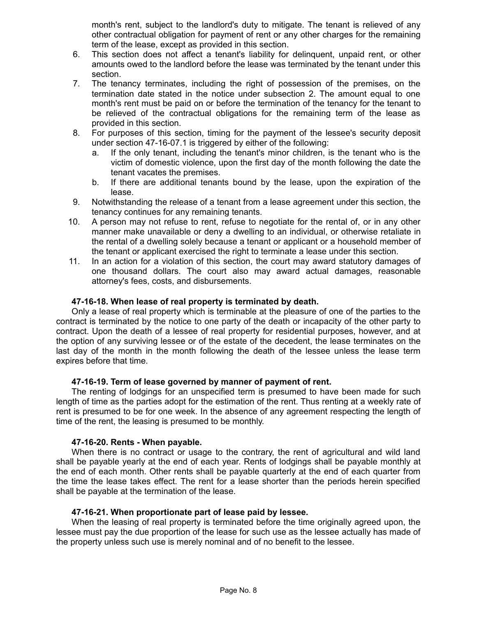month's rent, subject to the landlord's duty to mitigate. The tenant is relieved of any other contractual obligation for payment of rent or any other charges for the remaining term of the lease, except as provided in this section.

- 6. This section does not affect a tenant's liability for delinquent, unpaid rent, or other amounts owed to the landlord before the lease was terminated by the tenant under this section.
- 7. The tenancy terminates, including the right of possession of the premises, on the termination date stated in the notice under subsection 2. The amount equal to one month's rent must be paid on or before the termination of the tenancy for the tenant to be relieved of the contractual obligations for the remaining term of the lease as provided in this section.
- 8. For purposes of this section, timing for the payment of the lessee's security deposit under section 47-16-07.1 is triggered by either of the following:
	- a. If the only tenant, including the tenant's minor children, is the tenant who is the victim of domestic violence, upon the first day of the month following the date the tenant vacates the premises.
	- b. If there are additional tenants bound by the lease, upon the expiration of the lease.
- 9. Notwithstanding the release of a tenant from a lease agreement under this section, the tenancy continues for any remaining tenants.
- 10. A person may not refuse to rent, refuse to negotiate for the rental of, or in any other manner make unavailable or deny a dwelling to an individual, or otherwise retaliate in the rental of a dwelling solely because a tenant or applicant or a household member of the tenant or applicant exercised the right to terminate a lease under this section.
- 11. In an action for a violation of this section, the court may award statutory damages of one thousand dollars. The court also may award actual damages, reasonable attorney's fees, costs, and disbursements.

## **47-16-18. When lease of real property is terminated by death.**

Only a lease of real property which is terminable at the pleasure of one of the parties to the contract is terminated by the notice to one party of the death or incapacity of the other party to contract. Upon the death of a lessee of real property for residential purposes, however, and at the option of any surviving lessee or of the estate of the decedent, the lease terminates on the last day of the month in the month following the death of the lessee unless the lease term expires before that time.

### **47-16-19. Term of lease governed by manner of payment of rent.**

The renting of lodgings for an unspecified term is presumed to have been made for such length of time as the parties adopt for the estimation of the rent. Thus renting at a weekly rate of rent is presumed to be for one week. In the absence of any agreement respecting the length of time of the rent, the leasing is presumed to be monthly.

### **47-16-20. Rents - When payable.**

When there is no contract or usage to the contrary, the rent of agricultural and wild land shall be payable yearly at the end of each year. Rents of lodgings shall be payable monthly at the end of each month. Other rents shall be payable quarterly at the end of each quarter from the time the lease takes effect. The rent for a lease shorter than the periods herein specified shall be payable at the termination of the lease.

### **47-16-21. When proportionate part of lease paid by lessee.**

When the leasing of real property is terminated before the time originally agreed upon, the lessee must pay the due proportion of the lease for such use as the lessee actually has made of the property unless such use is merely nominal and of no benefit to the lessee.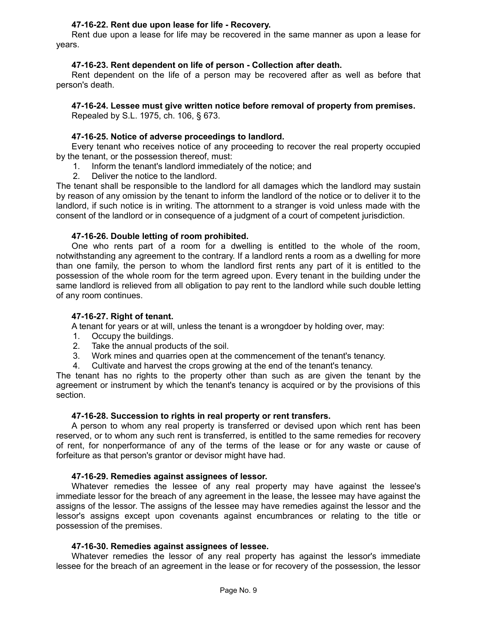# **47-16-22. Rent due upon lease for life - Recovery.**

Rent due upon a lease for life may be recovered in the same manner as upon a lease for years.

## **47-16-23. Rent dependent on life of person - Collection after death.**

Rent dependent on the life of a person may be recovered after as well as before that person's death.

# **47-16-24. Lessee must give written notice before removal of property from premises.**

Repealed by S.L. 1975, ch. 106, § 673.

### **47-16-25. Notice of adverse proceedings to landlord.**

Every tenant who receives notice of any proceeding to recover the real property occupied by the tenant, or the possession thereof, must:

- 1. Inform the tenant's landlord immediately of the notice; and
- 2. Deliver the notice to the landlord.

The tenant shall be responsible to the landlord for all damages which the landlord may sustain by reason of any omission by the tenant to inform the landlord of the notice or to deliver it to the landlord, if such notice is in writing. The attornment to a stranger is void unless made with the consent of the landlord or in consequence of a judgment of a court of competent jurisdiction.

## **47-16-26. Double letting of room prohibited.**

One who rents part of a room for a dwelling is entitled to the whole of the room, notwithstanding any agreement to the contrary. If a landlord rents a room as a dwelling for more than one family, the person to whom the landlord first rents any part of it is entitled to the possession of the whole room for the term agreed upon. Every tenant in the building under the same landlord is relieved from all obligation to pay rent to the landlord while such double letting of any room continues.

### **47-16-27. Right of tenant.**

A tenant for years or at will, unless the tenant is a wrongdoer by holding over, may:

- 1. Occupy the buildings.
- 2. Take the annual products of the soil.
- 3. Work mines and quarries open at the commencement of the tenant's tenancy.
- 4. Cultivate and harvest the crops growing at the end of the tenant's tenancy.

The tenant has no rights to the property other than such as are given the tenant by the agreement or instrument by which the tenant's tenancy is acquired or by the provisions of this section.

### **47-16-28. Succession to rights in real property or rent transfers.**

A person to whom any real property is transferred or devised upon which rent has been reserved, or to whom any such rent is transferred, is entitled to the same remedies for recovery of rent, for nonperformance of any of the terms of the lease or for any waste or cause of forfeiture as that person's grantor or devisor might have had.

### **47-16-29. Remedies against assignees of lessor.**

Whatever remedies the lessee of any real property may have against the lessee's immediate lessor for the breach of any agreement in the lease, the lessee may have against the assigns of the lessor. The assigns of the lessee may have remedies against the lessor and the lessor's assigns except upon covenants against encumbrances or relating to the title or possession of the premises.

## **47-16-30. Remedies against assignees of lessee.**

Whatever remedies the lessor of any real property has against the lessor's immediate lessee for the breach of an agreement in the lease or for recovery of the possession, the lessor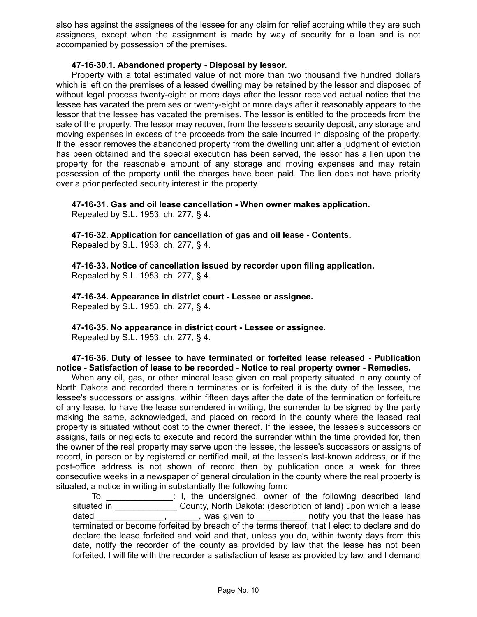also has against the assignees of the lessee for any claim for relief accruing while they are such assignees, except when the assignment is made by way of security for a loan and is not accompanied by possession of the premises.

## **47-16-30.1. Abandoned property - Disposal by lessor.**

Property with a total estimated value of not more than two thousand five hundred dollars which is left on the premises of a leased dwelling may be retained by the lessor and disposed of without legal process twenty-eight or more days after the lessor received actual notice that the lessee has vacated the premises or twenty-eight or more days after it reasonably appears to the lessor that the lessee has vacated the premises. The lessor is entitled to the proceeds from the sale of the property. The lessor may recover, from the lessee's security deposit, any storage and moving expenses in excess of the proceeds from the sale incurred in disposing of the property. If the lessor removes the abandoned property from the dwelling unit after a judgment of eviction has been obtained and the special execution has been served, the lessor has a lien upon the property for the reasonable amount of any storage and moving expenses and may retain possession of the property until the charges have been paid. The lien does not have priority over a prior perfected security interest in the property.

**47-16-31. Gas and oil lease cancellation - When owner makes application.**

Repealed by S.L. 1953, ch. 277, § 4.

**47-16-32. Application for cancellation of gas and oil lease - Contents.** Repealed by S.L. 1953, ch. 277, § 4.

**47-16-33. Notice of cancellation issued by recorder upon filing application.** Repealed by S.L. 1953, ch. 277, § 4.

**47-16-34. Appearance in district court - Lessee or assignee.** Repealed by S.L. 1953, ch. 277, § 4.

**47-16-35. No appearance in district court - Lessee or assignee.** Repealed by S.L. 1953, ch. 277, § 4.

**47-16-36. Duty of lessee to have terminated or forfeited lease released - Publication notice - Satisfaction of lease to be recorded - Notice to real property owner - Remedies.**

When any oil, gas, or other mineral lease given on real property situated in any county of North Dakota and recorded therein terminates or is forfeited it is the duty of the lessee, the lessee's successors or assigns, within fifteen days after the date of the termination or forfeiture of any lease, to have the lease surrendered in writing, the surrender to be signed by the party making the same, acknowledged, and placed on record in the county where the leased real property is situated without cost to the owner thereof. If the lessee, the lessee's successors or assigns, fails or neglects to execute and record the surrender within the time provided for, then the owner of the real property may serve upon the lessee, the lessee's successors or assigns of record, in person or by registered or certified mail, at the lessee's last-known address, or if the post-office address is not shown of record then by publication once a week for three consecutive weeks in a newspaper of general circulation in the county where the real property is situated, a notice in writing in substantially the following form:

To \_\_\_\_\_\_\_\_\_\_\_\_\_\_: I, the undersigned, owner of the following described land situated in \_\_\_\_\_\_\_\_\_\_\_\_\_\_\_\_ County, North Dakota: (description of land) upon which a lease dated \_\_\_\_\_\_\_\_\_\_\_\_\_, \_\_\_\_\_\_, was given to \_\_\_\_\_\_\_\_\_ notify you that the lease has terminated or become forfeited by breach of the terms thereof, that I elect to declare and do declare the lease forfeited and void and that, unless you do, within twenty days from this date, notify the recorder of the county as provided by law that the lease has not been forfeited, I will file with the recorder a satisfaction of lease as provided by law, and I demand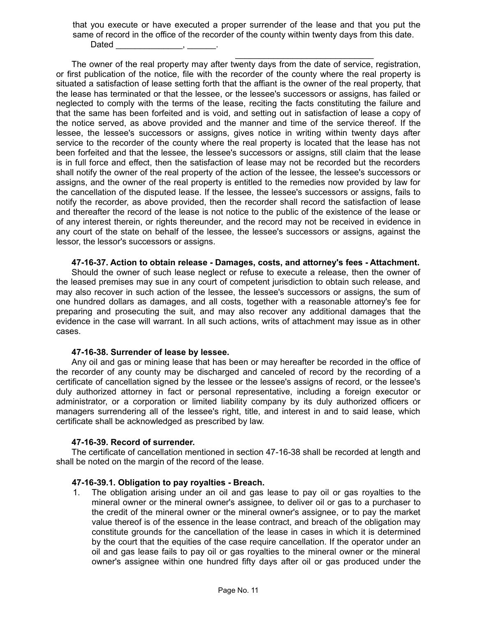that you execute or have executed a proper surrender of the lease and that you put the same of record in the office of the recorder of the county within twenty days from this date. Dated

\_\_\_\_\_\_\_\_\_\_\_\_\_\_\_\_\_\_\_\_\_\_\_\_\_\_\_\_\_ The owner of the real property may after twenty days from the date of service, registration, or first publication of the notice, file with the recorder of the county where the real property is situated a satisfaction of lease setting forth that the affiant is the owner of the real property, that the lease has terminated or that the lessee, or the lessee's successors or assigns, has failed or neglected to comply with the terms of the lease, reciting the facts constituting the failure and that the same has been forfeited and is void, and setting out in satisfaction of lease a copy of the notice served, as above provided and the manner and time of the service thereof. If the lessee, the lessee's successors or assigns, gives notice in writing within twenty days after service to the recorder of the county where the real property is located that the lease has not been forfeited and that the lessee, the lessee's successors or assigns, still claim that the lease is in full force and effect, then the satisfaction of lease may not be recorded but the recorders shall notify the owner of the real property of the action of the lessee, the lessee's successors or assigns, and the owner of the real property is entitled to the remedies now provided by law for the cancellation of the disputed lease. If the lessee, the lessee's successors or assigns, fails to notify the recorder, as above provided, then the recorder shall record the satisfaction of lease and thereafter the record of the lease is not notice to the public of the existence of the lease or of any interest therein, or rights thereunder, and the record may not be received in evidence in any court of the state on behalf of the lessee, the lessee's successors or assigns, against the lessor, the lessor's successors or assigns.

### **47-16-37. Action to obtain release - Damages, costs, and attorney's fees - Attachment.**

Should the owner of such lease neglect or refuse to execute a release, then the owner of the leased premises may sue in any court of competent jurisdiction to obtain such release, and may also recover in such action of the lessee, the lessee's successors or assigns, the sum of one hundred dollars as damages, and all costs, together with a reasonable attorney's fee for preparing and prosecuting the suit, and may also recover any additional damages that the evidence in the case will warrant. In all such actions, writs of attachment may issue as in other cases.

### **47-16-38. Surrender of lease by lessee.**

Any oil and gas or mining lease that has been or may hereafter be recorded in the office of the recorder of any county may be discharged and canceled of record by the recording of a certificate of cancellation signed by the lessee or the lessee's assigns of record, or the lessee's duly authorized attorney in fact or personal representative, including a foreign executor or administrator, or a corporation or limited liability company by its duly authorized officers or managers surrendering all of the lessee's right, title, and interest in and to said lease, which certificate shall be acknowledged as prescribed by law.

### **47-16-39. Record of surrender.**

The certificate of cancellation mentioned in section 47-16-38 shall be recorded at length and shall be noted on the margin of the record of the lease.

### **47-16-39.1. Obligation to pay royalties - Breach.**

1. The obligation arising under an oil and gas lease to pay oil or gas royalties to the mineral owner or the mineral owner's assignee, to deliver oil or gas to a purchaser to the credit of the mineral owner or the mineral owner's assignee, or to pay the market value thereof is of the essence in the lease contract, and breach of the obligation may constitute grounds for the cancellation of the lease in cases in which it is determined by the court that the equities of the case require cancellation. If the operator under an oil and gas lease fails to pay oil or gas royalties to the mineral owner or the mineral owner's assignee within one hundred fifty days after oil or gas produced under the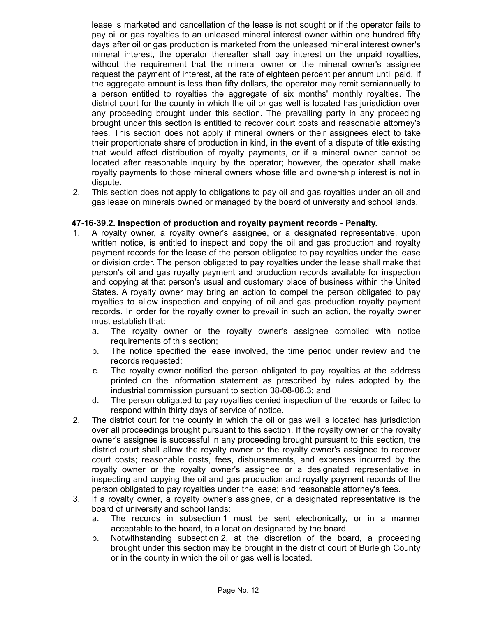lease is marketed and cancellation of the lease is not sought or if the operator fails to pay oil or gas royalties to an unleased mineral interest owner within one hundred fifty days after oil or gas production is marketed from the unleased mineral interest owner's mineral interest, the operator thereafter shall pay interest on the unpaid royalties, without the requirement that the mineral owner or the mineral owner's assignee request the payment of interest, at the rate of eighteen percent per annum until paid. If the aggregate amount is less than fifty dollars, the operator may remit semiannually to a person entitled to royalties the aggregate of six months' monthly royalties. The district court for the county in which the oil or gas well is located has jurisdiction over any proceeding brought under this section. The prevailing party in any proceeding brought under this section is entitled to recover court costs and reasonable attorney's fees. This section does not apply if mineral owners or their assignees elect to take their proportionate share of production in kind, in the event of a dispute of title existing that would affect distribution of royalty payments, or if a mineral owner cannot be located after reasonable inquiry by the operator; however, the operator shall make royalty payments to those mineral owners whose title and ownership interest is not in dispute.

2. This section does not apply to obligations to pay oil and gas royalties under an oil and gas lease on minerals owned or managed by the board of university and school lands.

# **47-16-39.2. Inspection of production and royalty payment records - Penalty.**

- 1. A royalty owner, a royalty owner's assignee, or a designated representative, upon written notice, is entitled to inspect and copy the oil and gas production and royalty payment records for the lease of the person obligated to pay royalties under the lease or division order. The person obligated to pay royalties under the lease shall make that person's oil and gas royalty payment and production records available for inspection and copying at that person's usual and customary place of business within the United States. A royalty owner may bring an action to compel the person obligated to pay royalties to allow inspection and copying of oil and gas production royalty payment records. In order for the royalty owner to prevail in such an action, the royalty owner must establish that:
	- a. The royalty owner or the royalty owner's assignee complied with notice requirements of this section;
	- b. The notice specified the lease involved, the time period under review and the records requested;
	- c. The royalty owner notified the person obligated to pay royalties at the address printed on the information statement as prescribed by rules adopted by the industrial commission pursuant to section 38-08-06.3; and
	- d. The person obligated to pay royalties denied inspection of the records or failed to respond within thirty days of service of notice.
- 2. The district court for the county in which the oil or gas well is located has jurisdiction over all proceedings brought pursuant to this section. If the royalty owner or the royalty owner's assignee is successful in any proceeding brought pursuant to this section, the district court shall allow the royalty owner or the royalty owner's assignee to recover court costs; reasonable costs, fees, disbursements, and expenses incurred by the royalty owner or the royalty owner's assignee or a designated representative in inspecting and copying the oil and gas production and royalty payment records of the person obligated to pay royalties under the lease; and reasonable attorney's fees.
- 3. If a royalty owner, a royalty owner's assignee, or a designated representative is the board of university and school lands:
	- a. The records in subsection 1 must be sent electronically, or in a manner acceptable to the board, to a location designated by the board.
	- b. Notwithstanding subsection 2, at the discretion of the board, a proceeding brought under this section may be brought in the district court of Burleigh County or in the county in which the oil or gas well is located.